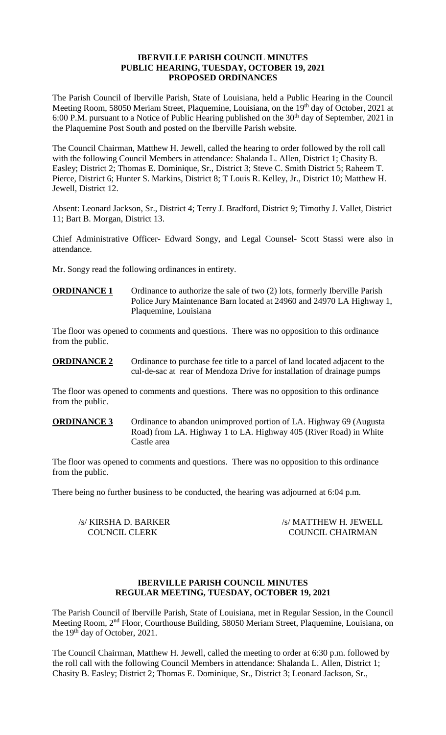### **IBERVILLE PARISH COUNCIL MINUTES PUBLIC HEARING, TUESDAY, OCTOBER 19, 2021 PROPOSED ORDINANCES**

The Parish Council of Iberville Parish, State of Louisiana, held a Public Hearing in the Council Meeting Room, 58050 Meriam Street, Plaquemine, Louisiana, on the 19<sup>th</sup> day of October, 2021 at 6:00 P.M. pursuant to a Notice of Public Hearing published on the  $30<sup>th</sup>$  day of September, 2021 in the Plaquemine Post South and posted on the Iberville Parish website.

The Council Chairman, Matthew H. Jewell, called the hearing to order followed by the roll call with the following Council Members in attendance: Shalanda L. Allen, District 1; Chasity B. Easley; District 2; Thomas E. Dominique, Sr., District 3; Steve C. Smith District 5; Raheem T. Pierce, District 6; Hunter S. Markins, District 8; T Louis R. Kelley, Jr., District 10; Matthew H. Jewell, District 12.

Absent: Leonard Jackson, Sr., District 4; Terry J. Bradford, District 9; Timothy J. Vallet, District 11; Bart B. Morgan, District 13.

Chief Administrative Officer- Edward Songy, and Legal Counsel- Scott Stassi were also in attendance.

Mr. Songy read the following ordinances in entirety.

**ORDINANCE 1** Ordinance to authorize the sale of two (2) lots, formerly Iberville Parish Police Jury Maintenance Barn located at 24960 and 24970 LA Highway 1, Plaquemine, Louisiana

The floor was opened to comments and questions. There was no opposition to this ordinance from the public.

**ORDINANCE 2** Ordinance to purchase fee title to a parcel of land located adjacent to the cul-de-sac at rear of Mendoza Drive for installation of drainage pumps

The floor was opened to comments and questions. There was no opposition to this ordinance from the public.

## **ORDINANCE 3** Ordinance to abandon unimproved portion of LA. Highway 69 (Augusta) Road) from LA. Highway 1 to LA. Highway 405 (River Road) in White Castle area

The floor was opened to comments and questions. There was no opposition to this ordinance from the public.

There being no further business to be conducted, the hearing was adjourned at 6:04 p.m.

/s/ KIRSHA D. BARKER /s/ MATTHEW H. JEWELL COUNCIL CLERK COUNCIL CHAIRMAN

### **IBERVILLE PARISH COUNCIL MINUTES REGULAR MEETING, TUESDAY, OCTOBER 19, 2021**

The Parish Council of Iberville Parish, State of Louisiana, met in Regular Session, in the Council Meeting Room, 2nd Floor, Courthouse Building, 58050 Meriam Street, Plaquemine, Louisiana, on the 19<sup>th</sup> day of October, 2021.

The Council Chairman, Matthew H. Jewell, called the meeting to order at 6:30 p.m. followed by the roll call with the following Council Members in attendance: Shalanda L. Allen, District 1; Chasity B. Easley; District 2; Thomas E. Dominique, Sr., District 3; Leonard Jackson, Sr.,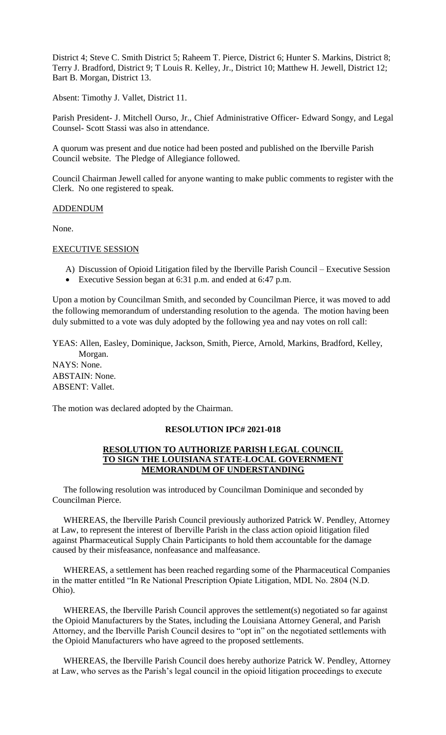District 4; Steve C. Smith District 5; Raheem T. Pierce, District 6; Hunter S. Markins, District 8; Terry J. Bradford, District 9; T Louis R. Kelley, Jr., District 10; Matthew H. Jewell, District 12; Bart B. Morgan, District 13.

Absent: Timothy J. Vallet, District 11.

Parish President- J. Mitchell Ourso, Jr., Chief Administrative Officer- Edward Songy, and Legal Counsel- Scott Stassi was also in attendance.

A quorum was present and due notice had been posted and published on the Iberville Parish Council website. The Pledge of Allegiance followed.

Council Chairman Jewell called for anyone wanting to make public comments to register with the Clerk. No one registered to speak.

#### ADDENDUM

None.

#### EXECUTIVE SESSION

- A) Discussion of Opioid Litigation filed by the Iberville Parish Council Executive Session
- Executive Session began at 6:31 p.m. and ended at 6:47 p.m.

Upon a motion by Councilman Smith, and seconded by Councilman Pierce, it was moved to add the following memorandum of understanding resolution to the agenda. The motion having been duly submitted to a vote was duly adopted by the following yea and nay votes on roll call:

YEAS: Allen, Easley, Dominique, Jackson, Smith, Pierce, Arnold, Markins, Bradford, Kelley, Morgan.

NAYS: None. ABSTAIN: None. ABSENT: Vallet.

The motion was declared adopted by the Chairman.

### **RESOLUTION IPC# 2021-018**

### **RESOLUTION TO AUTHORIZE PARISH LEGAL COUNCIL TO SIGN THE LOUISIANA STATE-LOCAL GOVERNMENT MEMORANDUM OF UNDERSTANDING**

 The following resolution was introduced by Councilman Dominique and seconded by Councilman Pierce.

 WHEREAS, the Iberville Parish Council previously authorized Patrick W. Pendley, Attorney at Law, to represent the interest of Iberville Parish in the class action opioid litigation filed against Pharmaceutical Supply Chain Participants to hold them accountable for the damage caused by their misfeasance, nonfeasance and malfeasance.

 WHEREAS, a settlement has been reached regarding some of the Pharmaceutical Companies in the matter entitled "In Re National Prescription Opiate Litigation, MDL No. 2804 (N.D. Ohio).

 WHEREAS, the Iberville Parish Council approves the settlement(s) negotiated so far against the Opioid Manufacturers by the States, including the Louisiana Attorney General, and Parish Attorney, and the Iberville Parish Council desires to "opt in" on the negotiated settlements with the Opioid Manufacturers who have agreed to the proposed settlements.

 WHEREAS, the Iberville Parish Council does hereby authorize Patrick W. Pendley, Attorney at Law, who serves as the Parish's legal council in the opioid litigation proceedings to execute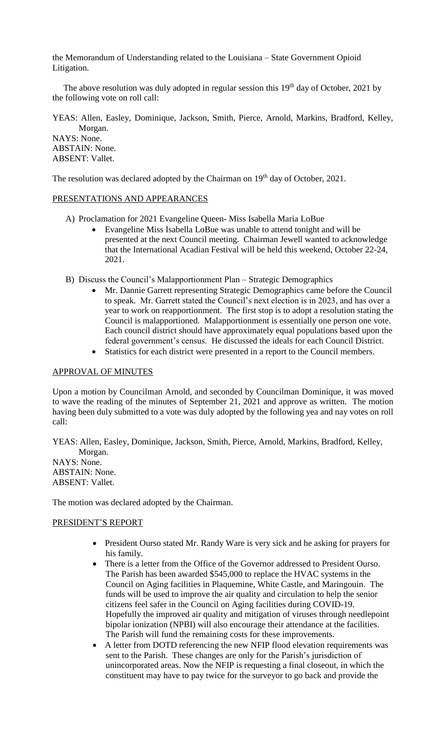the Memorandum of Understanding related to the Louisiana – State Government Opioid Litigation.

The above resolution was duly adopted in regular session this  $19<sup>th</sup>$  day of October, 2021 by the following vote on roll call:

YEAS: Allen, Easley, Dominique, Jackson, Smith, Pierce, Arnold, Markins, Bradford, Kelley, Morgan.

NAYS: None. ABSTAIN: None. ABSENT: Vallet.

The resolution was declared adopted by the Chairman on 19<sup>th</sup> day of October, 2021.

## PRESENTATIONS AND APPEARANCES

- A) Proclamation for 2021 Evangeline Queen- Miss Isabella Maria LoBue
	- Evangeline Miss Isabella LoBue was unable to attend tonight and will be presented at the next Council meeting. Chairman Jewell wanted to acknowledge that the International Acadian Festival will be held this weekend, October 22-24, 2021.
- B) Discuss the Council's Malapportionment Plan Strategic Demographics
	- Mr. Dannie Garrett representing Strategic Demographics came before the Council to speak. Mr. Garrett stated the Council's next election is in 2023, and has over a year to work on reapportionment. The first stop is to adopt a resolution stating the Council is malapportioned. Malapportionment is essentially one person one vote. Each council district should have approximately equal populations based upon the federal government's census. He discussed the ideals for each Council District.
	- Statistics for each district were presented in a report to the Council members.

### APPROVAL OF MINUTES

Upon a motion by Councilman Arnold, and seconded by Councilman Dominique, it was moved to wave the reading of the minutes of September 21, 2021 and approve as written. The motion having been duly submitted to a vote was duly adopted by the following yea and nay votes on roll call:

YEAS: Allen, Easley, Dominique, Jackson, Smith, Pierce, Arnold, Markins, Bradford, Kelley, Morgan. NAYS: None.

ABSTAIN: None. ABSENT: Vallet.

The motion was declared adopted by the Chairman.

## PRESIDENT'S REPORT

- President Ourso stated Mr. Randy Ware is very sick and he asking for prayers for his family.
- There is a letter from the Office of the Governor addressed to President Ourso. The Parish has been awarded \$545,000 to replace the HVAC systems in the Council on Aging facilities in Plaquemine, White Castle, and Maringouin. The funds will be used to improve the air quality and circulation to help the senior citizens feel safer in the Council on Aging facilities during COVID-19. Hopefully the improved air quality and mitigation of viruses through needlepoint bipolar ionization (NPBI) will also encourage their attendance at the facilities. The Parish will fund the remaining costs for these improvements.
- A letter from DOTD referencing the new NFIP flood elevation requirements was sent to the Parish. These changes are only for the Parish's jurisdiction of unincorporated areas. Now the NFIP is requesting a final closeout, in which the constituent may have to pay twice for the surveyor to go back and provide the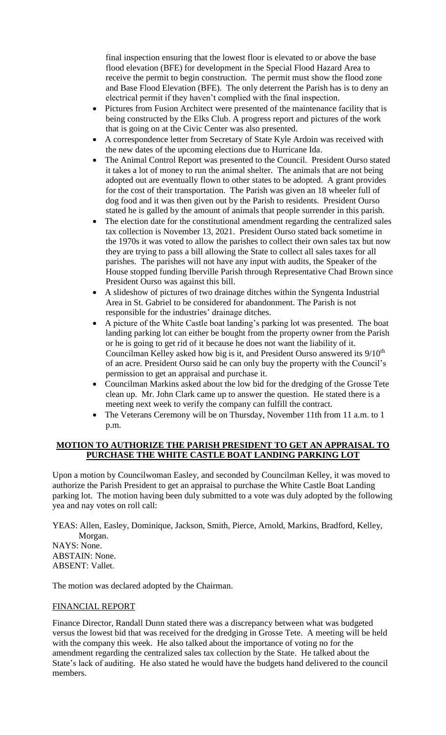final inspection ensuring that the lowest floor is elevated to or above the base flood elevation (BFE) for development in the Special Flood Hazard Area to receive the permit to begin construction. The permit must show the flood zone and Base Flood Elevation (BFE). The only deterrent the Parish has is to deny an electrical permit if they haven't complied with the final inspection.

- Pictures from Fusion Architect were presented of the maintenance facility that is being constructed by the Elks Club. A progress report and pictures of the work that is going on at the Civic Center was also presented.
- A correspondence letter from Secretary of State Kyle Ardoin was received with the new dates of the upcoming elections due to Hurricane Ida.
- The Animal Control Report was presented to the Council. President Ourso stated it takes a lot of money to run the animal shelter. The animals that are not being adopted out are eventually flown to other states to be adopted. A grant provides for the cost of their transportation. The Parish was given an 18 wheeler full of dog food and it was then given out by the Parish to residents. President Ourso stated he is galled by the amount of animals that people surrender in this parish.
- The election date for the constitutional amendment regarding the centralized sales tax collection is November 13, 2021. President Ourso stated back sometime in the 1970s it was voted to allow the parishes to collect their own sales tax but now they are trying to pass a bill allowing the State to collect all sales taxes for all parishes. The parishes will not have any input with audits, the Speaker of the House stopped funding Iberville Parish through Representative Chad Brown since President Ourso was against this bill.
- A slideshow of pictures of two drainage ditches within the Syngenta Industrial Area in St. Gabriel to be considered for abandonment. The Parish is not responsible for the industries' drainage ditches.
- A picture of the White Castle boat landing's parking lot was presented. The boat landing parking lot can either be bought from the property owner from the Parish or he is going to get rid of it because he does not want the liability of it. Councilman Kelley asked how big is it, and President Ourso answered its 9/10<sup>th</sup> of an acre. President Ourso said he can only buy the property with the Council's permission to get an appraisal and purchase it.
- Councilman Markins asked about the low bid for the dredging of the Grosse Tete clean up. Mr. John Clark came up to answer the question. He stated there is a meeting next week to verify the company can fulfill the contract.
- The Veterans Ceremony will be on Thursday, November 11th from 11 a.m. to 1 p.m.

# **MOTION TO AUTHORIZE THE PARISH PRESIDENT TO GET AN APPRAISAL TO PURCHASE THE WHITE CASTLE BOAT LANDING PARKING LOT**

Upon a motion by Councilwoman Easley, and seconded by Councilman Kelley, it was moved to authorize the Parish President to get an appraisal to purchase the White Castle Boat Landing parking lot. The motion having been duly submitted to a vote was duly adopted by the following yea and nay votes on roll call:

YEAS: Allen, Easley, Dominique, Jackson, Smith, Pierce, Arnold, Markins, Bradford, Kelley,

 Morgan. NAYS: None. ABSTAIN: None. ABSENT: Vallet.

The motion was declared adopted by the Chairman.

# FINANCIAL REPORT

Finance Director, Randall Dunn stated there was a discrepancy between what was budgeted versus the lowest bid that was received for the dredging in Grosse Tete. A meeting will be held with the company this week. He also talked about the importance of voting no for the amendment regarding the centralized sales tax collection by the State. He talked about the State's lack of auditing. He also stated he would have the budgets hand delivered to the council members.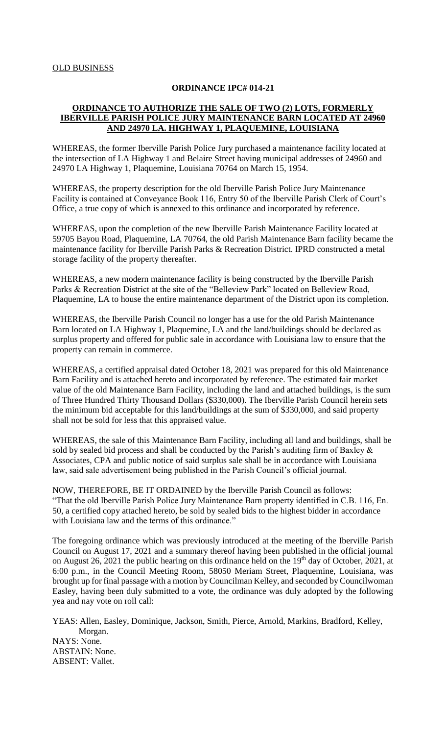#### **ORDINANCE IPC# 014-21**

### **ORDINANCE TO AUTHORIZE THE SALE OF TWO (2) LOTS, FORMERLY IBERVILLE PARISH POLICE JURY MAINTENANCE BARN LOCATED AT 24960 AND 24970 LA. HIGHWAY 1, PLAQUEMINE, LOUISIANA**

WHEREAS, the former Iberville Parish Police Jury purchased a maintenance facility located at the intersection of LA Highway 1 and Belaire Street having municipal addresses of 24960 and 24970 LA Highway 1, Plaquemine, Louisiana 70764 on March 15, 1954.

WHEREAS, the property description for the old Iberville Parish Police Jury Maintenance Facility is contained at Conveyance Book 116, Entry 50 of the Iberville Parish Clerk of Court's Office, a true copy of which is annexed to this ordinance and incorporated by reference.

WHEREAS, upon the completion of the new Iberville Parish Maintenance Facility located at 59705 Bayou Road, Plaquemine, LA 70764, the old Parish Maintenance Barn facility became the maintenance facility for Iberville Parish Parks & Recreation District. IPRD constructed a metal storage facility of the property thereafter.

WHEREAS, a new modern maintenance facility is being constructed by the Iberville Parish Parks & Recreation District at the site of the "Belleview Park" located on Belleview Road, Plaquemine, LA to house the entire maintenance department of the District upon its completion.

WHEREAS, the Iberville Parish Council no longer has a use for the old Parish Maintenance Barn located on LA Highway 1, Plaquemine, LA and the land/buildings should be declared as surplus property and offered for public sale in accordance with Louisiana law to ensure that the property can remain in commerce.

WHEREAS, a certified appraisal dated October 18, 2021 was prepared for this old Maintenance Barn Facility and is attached hereto and incorporated by reference. The estimated fair market value of the old Maintenance Barn Facility, including the land and attached buildings, is the sum of Three Hundred Thirty Thousand Dollars (\$330,000). The Iberville Parish Council herein sets the minimum bid acceptable for this land/buildings at the sum of \$330,000, and said property shall not be sold for less that this appraised value.

WHEREAS, the sale of this Maintenance Barn Facility, including all land and buildings, shall be sold by sealed bid process and shall be conducted by the Parish's auditing firm of Baxley & Associates, CPA and public notice of said surplus sale shall be in accordance with Louisiana law, said sale advertisement being published in the Parish Council's official journal.

NOW, THEREFORE, BE IT ORDAINED by the Iberville Parish Council as follows: "That the old Iberville Parish Police Jury Maintenance Barn property identified in C.B. 116, En. 50, a certified copy attached hereto, be sold by sealed bids to the highest bidder in accordance with Louisiana law and the terms of this ordinance."

The foregoing ordinance which was previously introduced at the meeting of the Iberville Parish Council on August 17, 2021 and a summary thereof having been published in the official journal on August 26, 2021 the public hearing on this ordinance held on the  $19<sup>th</sup>$  day of October, 2021, at 6:00 p.m., in the Council Meeting Room, 58050 Meriam Street, Plaquemine, Louisiana, was brought up for final passage with a motion by Councilman Kelley, and seconded by Councilwoman Easley, having been duly submitted to a vote, the ordinance was duly adopted by the following yea and nay vote on roll call:

YEAS: Allen, Easley, Dominique, Jackson, Smith, Pierce, Arnold, Markins, Bradford, Kelley, Morgan. NAYS: None. ABSTAIN: None. ABSENT: Vallet.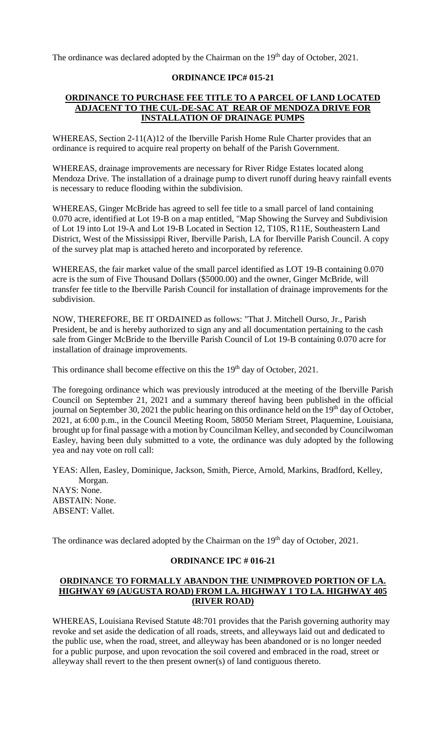The ordinance was declared adopted by the Chairman on the 19<sup>th</sup> day of October, 2021.

## **ORDINANCE IPC# 015-21**

## **ORDINANCE TO PURCHASE FEE TITLE TO A PARCEL OF LAND LOCATED ADJACENT TO THE CUL-DE-SAC AT REAR OF MENDOZA DRIVE FOR INSTALLATION OF DRAINAGE PUMPS**

WHEREAS, Section 2-11(A)12 of the Iberville Parish Home Rule Charter provides that an ordinance is required to acquire real property on behalf of the Parish Government.

WHEREAS, drainage improvements are necessary for River Ridge Estates located along Mendoza Drive. The installation of a drainage pump to divert runoff during heavy rainfall events is necessary to reduce flooding within the subdivision.

WHEREAS, Ginger McBride has agreed to sell fee title to a small parcel of land containing 0.070 acre, identified at Lot 19-B on a map entitled, "Map Showing the Survey and Subdivision of Lot 19 into Lot 19-A and Lot 19-B Located in Section 12, T10S, R11E, Southeastern Land District, West of the Mississippi River, Iberville Parish, LA for Iberville Parish Council. A copy of the survey plat map is attached hereto and incorporated by reference.

WHEREAS, the fair market value of the small parcel identified as LOT 19-B containing 0.070 acre is the sum of Five Thousand Dollars (\$5000.00) and the owner, Ginger McBride, will transfer fee title to the Iberville Parish Council for installation of drainage improvements for the subdivision.

NOW, THEREFORE, BE IT ORDAINED as follows: "That J. Mitchell Ourso, Jr., Parish President, be and is hereby authorized to sign any and all documentation pertaining to the cash sale from Ginger McBride to the Iberville Parish Council of Lot 19-B containing 0.070 acre for installation of drainage improvements.

This ordinance shall become effective on this the 19<sup>th</sup> day of October, 2021.

The foregoing ordinance which was previously introduced at the meeting of the Iberville Parish Council on September 21, 2021 and a summary thereof having been published in the official journal on September 30, 2021 the public hearing on this ordinance held on the 19<sup>th</sup> day of October, 2021, at 6:00 p.m., in the Council Meeting Room, 58050 Meriam Street, Plaquemine, Louisiana, brought up for final passage with a motion by Councilman Kelley, and seconded by Councilwoman Easley, having been duly submitted to a vote, the ordinance was duly adopted by the following yea and nay vote on roll call:

YEAS: Allen, Easley, Dominique, Jackson, Smith, Pierce, Arnold, Markins, Bradford, Kelley, Morgan. NAYS: None. ABSTAIN: None. ABSENT: Vallet.

The ordinance was declared adopted by the Chairman on the 19<sup>th</sup> day of October, 2021.

#### **ORDINANCE IPC # 016-21**

## **ORDINANCE TO FORMALLY ABANDON THE UNIMPROVED PORTION OF LA. HIGHWAY 69 (AUGUSTA ROAD) FROM LA. HIGHWAY 1 TO LA. HIGHWAY 405 (RIVER ROAD)**

WHEREAS, Louisiana Revised Statute 48:701 provides that the Parish governing authority may revoke and set aside the dedication of all roads, streets, and alleyways laid out and dedicated to the public use, when the road, street, and alleyway has been abandoned or is no longer needed for a public purpose, and upon revocation the soil covered and embraced in the road, street or alleyway shall revert to the then present owner(s) of land contiguous thereto.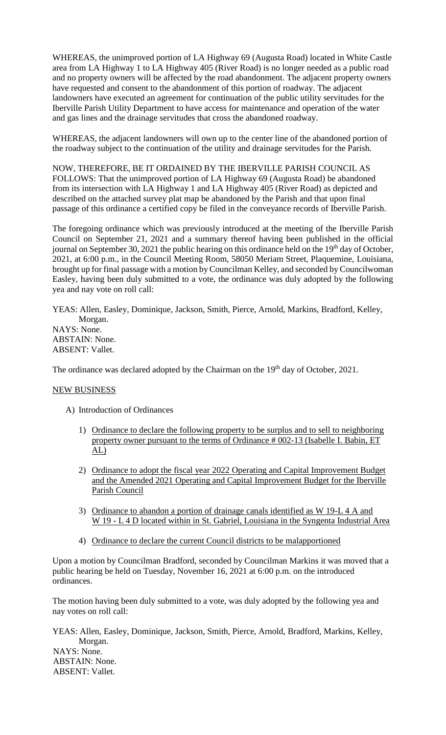WHEREAS, the unimproved portion of LA Highway 69 (Augusta Road) located in White Castle area from LA Highway 1 to LA Highway 405 (River Road) is no longer needed as a public road and no property owners will be affected by the road abandonment. The adjacent property owners have requested and consent to the abandonment of this portion of roadway. The adjacent landowners have executed an agreement for continuation of the public utility servitudes for the Iberville Parish Utility Department to have access for maintenance and operation of the water and gas lines and the drainage servitudes that cross the abandoned roadway.

WHEREAS, the adjacent landowners will own up to the center line of the abandoned portion of the roadway subject to the continuation of the utility and drainage servitudes for the Parish.

NOW, THEREFORE, BE IT ORDAINED BY THE IBERVILLE PARISH COUNCIL AS FOLLOWS: That the unimproved portion of LA Highway 69 (Augusta Road) be abandoned from its intersection with LA Highway 1 and LA Highway 405 (River Road) as depicted and described on the attached survey plat map be abandoned by the Parish and that upon final passage of this ordinance a certified copy be filed in the conveyance records of Iberville Parish.

The foregoing ordinance which was previously introduced at the meeting of the Iberville Parish Council on September 21, 2021 and a summary thereof having been published in the official journal on September 30, 2021 the public hearing on this ordinance held on the 19<sup>th</sup> day of October, 2021, at 6:00 p.m., in the Council Meeting Room, 58050 Meriam Street, Plaquemine, Louisiana, brought up for final passage with a motion by Councilman Kelley, and seconded by Councilwoman Easley, having been duly submitted to a vote, the ordinance was duly adopted by the following yea and nay vote on roll call:

YEAS: Allen, Easley, Dominique, Jackson, Smith, Pierce, Arnold, Markins, Bradford, Kelley, Morgan. NAYS: None. ABSTAIN: None. ABSENT: Vallet.

The ordinance was declared adopted by the Chairman on the 19<sup>th</sup> day of October, 2021.

### NEW BUSINESS

- A) Introduction of Ordinances
	- 1) Ordinance to declare the following property to be surplus and to sell to neighboring property owner pursuant to the terms of Ordinance # 002-13 (Isabelle I. Babin, ET  $\underline{\mathrm{AL}}$
	- 2) Ordinance to adopt the fiscal year 2022 Operating and Capital Improvement Budget and the Amended 2021 Operating and Capital Improvement Budget for the Iberville Parish Council
	- 3) Ordinance to abandon a portion of drainage canals identified as W 19-L 4 A and W 19 - L 4 D located within in St. Gabriel, Louisiana in the Syngenta Industrial Area
	- 4) Ordinance to declare the current Council districts to be malapportioned

Upon a motion by Councilman Bradford, seconded by Councilman Markins it was moved that a public hearing be held on Tuesday, November 16, 2021 at 6:00 p.m. on the introduced ordinances.

The motion having been duly submitted to a vote, was duly adopted by the following yea and nay votes on roll call:

YEAS: Allen, Easley, Dominique, Jackson, Smith, Pierce, Arnold, Bradford, Markins, Kelley, Morgan. NAYS: None. ABSTAIN: None. ABSENT: Vallet.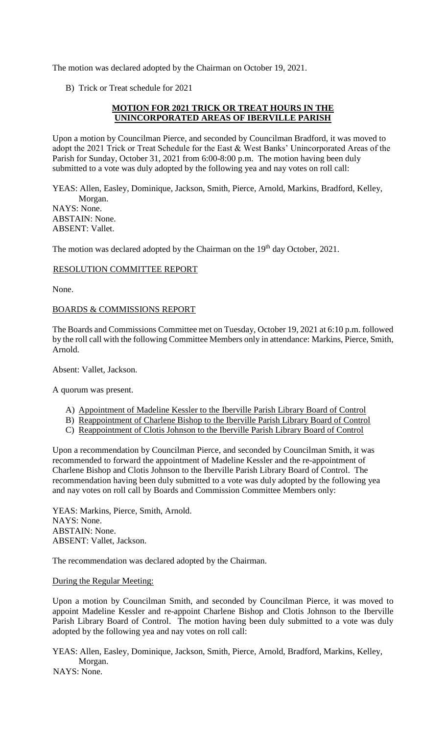The motion was declared adopted by the Chairman on October 19, 2021.

B) Trick or Treat schedule for 2021

## **MOTION FOR 2021 TRICK OR TREAT HOURS IN THE UNINCORPORATED AREAS OF IBERVILLE PARISH**

Upon a motion by Councilman Pierce, and seconded by Councilman Bradford, it was moved to adopt the 2021 Trick or Treat Schedule for the East & West Banks' Unincorporated Areas of the Parish for Sunday, October 31, 2021 from 6:00-8:00 p.m. The motion having been duly submitted to a vote was duly adopted by the following yea and nay votes on roll call:

YEAS: Allen, Easley, Dominique, Jackson, Smith, Pierce, Arnold, Markins, Bradford, Kelley, Morgan. NAYS: None. ABSTAIN: None. ABSENT: Vallet.

The motion was declared adopted by the Chairman on the 19<sup>th</sup> day October, 2021.

## RESOLUTION COMMITTEE REPORT

None.

## BOARDS & COMMISSIONS REPORT

The Boards and Commissions Committee met on Tuesday, October 19, 2021 at 6:10 p.m. followed by the roll call with the following Committee Members only in attendance: Markins, Pierce, Smith, Arnold.

Absent: Vallet, Jackson.

A quorum was present.

- A) Appointment of Madeline Kessler to the Iberville Parish Library Board of Control
- B) Reappointment of Charlene Bishop to the Iberville Parish Library Board of Control
- C) Reappointment of Clotis Johnson to the Iberville Parish Library Board of Control

Upon a recommendation by Councilman Pierce, and seconded by Councilman Smith, it was recommended to forward the appointment of Madeline Kessler and the re-appointment of Charlene Bishop and Clotis Johnson to the Iberville Parish Library Board of Control. The recommendation having been duly submitted to a vote was duly adopted by the following yea and nay votes on roll call by Boards and Commission Committee Members only:

YEAS: Markins, Pierce, Smith, Arnold. NAYS: None. ABSTAIN: None. ABSENT: Vallet, Jackson.

The recommendation was declared adopted by the Chairman.

During the Regular Meeting:

Upon a motion by Councilman Smith, and seconded by Councilman Pierce, it was moved to appoint Madeline Kessler and re-appoint Charlene Bishop and Clotis Johnson to the Iberville Parish Library Board of Control. The motion having been duly submitted to a vote was duly adopted by the following yea and nay votes on roll call:

YEAS: Allen, Easley, Dominique, Jackson, Smith, Pierce, Arnold, Bradford, Markins, Kelley, Morgan. NAYS: None.